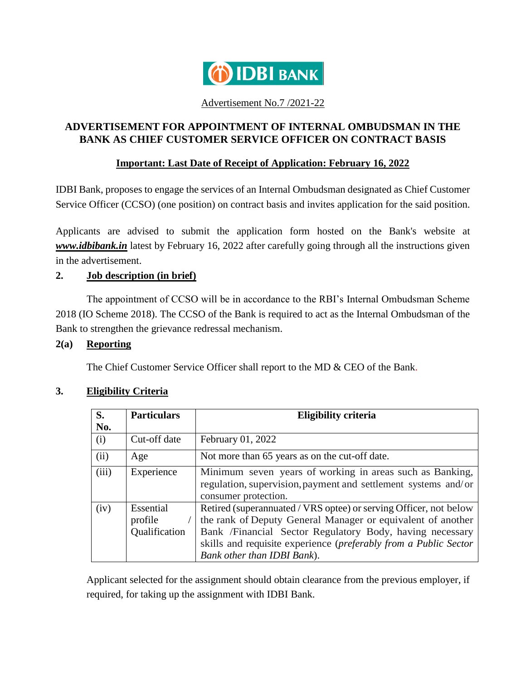

#### Advertisement No.7 /2021-22

# **ADVERTISEMENT FOR APPOINTMENT OF INTERNAL OMBUDSMAN IN THE BANK AS CHIEF CUSTOMER SERVICE OFFICER ON CONTRACT BASIS**

### **Important: Last Date of Receipt of Application: February 16, 2022**

IDBI Bank, proposes to engage the services of an Internal Ombudsman designated as Chief Customer Service Officer (CCSO) (one position) on contract basis and invites application for the said position.

Applicants are advised to submit the application form hosted on the Bank's website at *www.idbibank.in* latest by February 16, 2022 after carefully going through all the instructions given in the advertisement.

## **2. Job description (in brief)**

The appointment of CCSO will be in accordance to the RBI's Internal Ombudsman Scheme 2018 (IO Scheme 2018). The CCSO of the Bank is required to act as the Internal Ombudsman of the Bank to strengthen the grievance redressal mechanism.

## **2(a) Reporting**

The Chief Customer Service Officer shall report to the MD & CEO of the Bank.

| <b>S.</b> | <b>Particulars</b>                    | <b>Eligibility criteria</b>                                                                                                                                                                                                                                                                     |
|-----------|---------------------------------------|-------------------------------------------------------------------------------------------------------------------------------------------------------------------------------------------------------------------------------------------------------------------------------------------------|
| No.       |                                       |                                                                                                                                                                                                                                                                                                 |
| (i)       | Cut-off date                          | February 01, 2022                                                                                                                                                                                                                                                                               |
| (ii)      | Age                                   | Not more than 65 years as on the cut-off date.                                                                                                                                                                                                                                                  |
| (iii)     | Experience                            | Minimum seven years of working in areas such as Banking,<br>regulation, supervision, payment and settlement systems and/or<br>consumer protection.                                                                                                                                              |
| (iv)      | Essential<br>profile<br>Qualification | Retired (superannuated / VRS optee) or serving Officer, not below<br>the rank of Deputy General Manager or equivalent of another<br>Bank /Financial Sector Regulatory Body, having necessary<br>skills and requisite experience (preferably from a Public Sector<br>Bank other than IDBI Bank). |

## **3. Eligibility Criteria**

Applicant selected for the assignment should obtain clearance from the previous employer, if required, for taking up the assignment with IDBI Bank.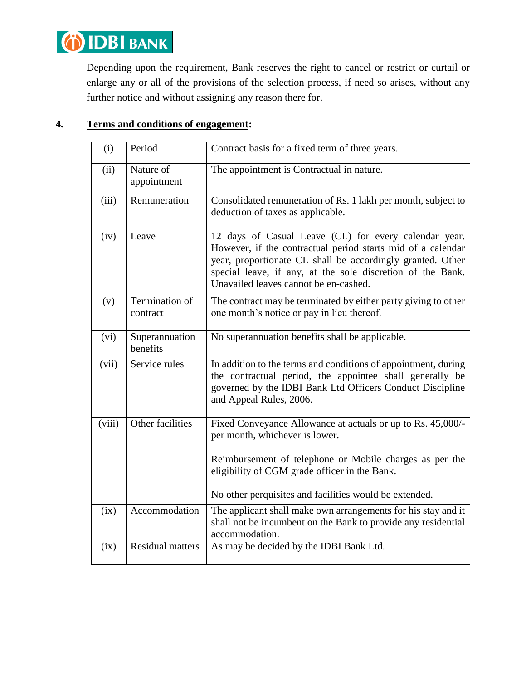

Depending upon the requirement, Bank reserves the right to cancel or restrict or curtail or enlarge any or all of the provisions of the selection process, if need so arises, without any further notice and without assigning any reason there for.

## **4. Terms and conditions of engagement:**

| (i)    | Period                     | Contract basis for a fixed term of three years.                                                                                                                                                                                                                                           |
|--------|----------------------------|-------------------------------------------------------------------------------------------------------------------------------------------------------------------------------------------------------------------------------------------------------------------------------------------|
| (ii)   | Nature of<br>appointment   | The appointment is Contractual in nature.                                                                                                                                                                                                                                                 |
| (iii)  | Remuneration               | Consolidated remuneration of Rs. 1 lakh per month, subject to<br>deduction of taxes as applicable.                                                                                                                                                                                        |
| (iv)   | Leave                      | 12 days of Casual Leave (CL) for every calendar year.<br>However, if the contractual period starts mid of a calendar<br>year, proportionate CL shall be accordingly granted. Other<br>special leave, if any, at the sole discretion of the Bank.<br>Unavailed leaves cannot be en-cashed. |
| (v)    | Termination of<br>contract | The contract may be terminated by either party giving to other<br>one month's notice or pay in lieu thereof.                                                                                                                                                                              |
| (vi)   | Superannuation<br>benefits | No superannuation benefits shall be applicable.                                                                                                                                                                                                                                           |
| (vii)  | Service rules              | In addition to the terms and conditions of appointment, during<br>the contractual period, the appointee shall generally be<br>governed by the IDBI Bank Ltd Officers Conduct Discipline<br>and Appeal Rules, 2006.                                                                        |
| (viii) | Other facilities           | Fixed Conveyance Allowance at actuals or up to Rs. 45,000/-<br>per month, whichever is lower.<br>Reimbursement of telephone or Mobile charges as per the<br>eligibility of CGM grade officer in the Bank.<br>No other perquisites and facilities would be extended.                       |
| (ix)   | Accommodation              | The applicant shall make own arrangements for his stay and it<br>shall not be incumbent on the Bank to provide any residential<br>accommodation.                                                                                                                                          |
| (ix)   | <b>Residual matters</b>    | As may be decided by the IDBI Bank Ltd.                                                                                                                                                                                                                                                   |
|        |                            |                                                                                                                                                                                                                                                                                           |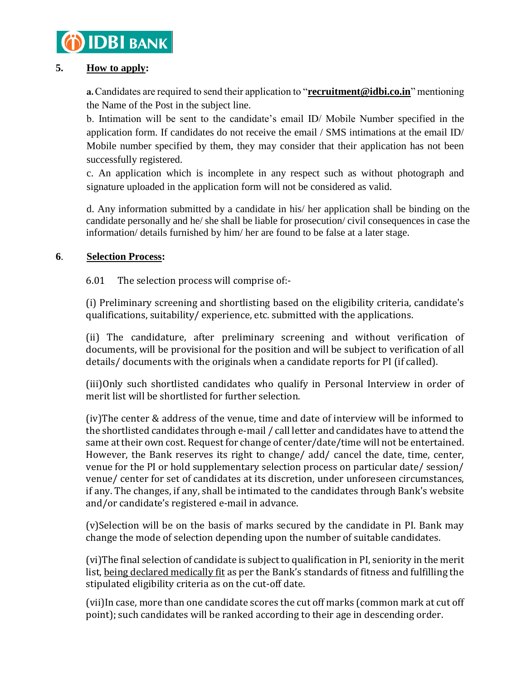

## **5. How to apply:**

**a.**Candidates are required to send their application to "**[recruitment@idbi.co.in](mailto:recruitment@idbi.co.in)**" mentioning the Name of the Post in the subject line.

b. Intimation will be sent to the candidate's email ID/ Mobile Number specified in the application form. If candidates do not receive the email / SMS intimations at the email ID/ Mobile number specified by them, they may consider that their application has not been successfully registered.

c. An application which is incomplete in any respect such as without photograph and signature uploaded in the application form will not be considered as valid.

d. Any information submitted by a candidate in his/ her application shall be binding on the candidate personally and he/ she shall be liable for prosecution/ civil consequences in case the information/ details furnished by him/ her are found to be false at a later stage.

### **6**. **Selection Process:**

6.01 The selection process will comprise of:-

(i) Preliminary screening and shortlisting based on the eligibility criteria, candidate's qualifications, suitability/ experience, etc. submitted with the applications.

(ii) The candidature, after preliminary screening and without verification of documents, will be provisional for the position and will be subject to verification of all details/ documents with the originals when a candidate reports for PI (if called).

(iii)Only such shortlisted candidates who qualify in Personal Interview in order of merit list will be shortlisted for further selection.

(iv)The center & address of the venue, time and date of interview will be informed to the shortlisted candidates through e-mail / call letter and candidates have to attend the same at their own cost. Request for change of center/date/time will not be entertained. However, the Bank reserves its right to change/ add/ cancel the date, time, center, venue for the PI or hold supplementary selection process on particular date/ session/ venue/ center for set of candidates at its discretion, under unforeseen circumstances, if any. The changes, if any, shall be intimated to the candidates through Bank's website and/or candidate's registered e-mail in advance.

(v)Selection will be on the basis of marks secured by the candidate in PI. Bank may change the mode of selection depending upon the number of suitable candidates.

(vi)The final selection of candidate is subject to qualification in PI, seniority in the merit list, being declared medically fit as per the Bank's standards of fitness and fulfilling the stipulated eligibility criteria as on the cut-off date.

(vii)In case, more than one candidate scores the cut off marks (common mark at cut off point); such candidates will be ranked according to their age in descending order.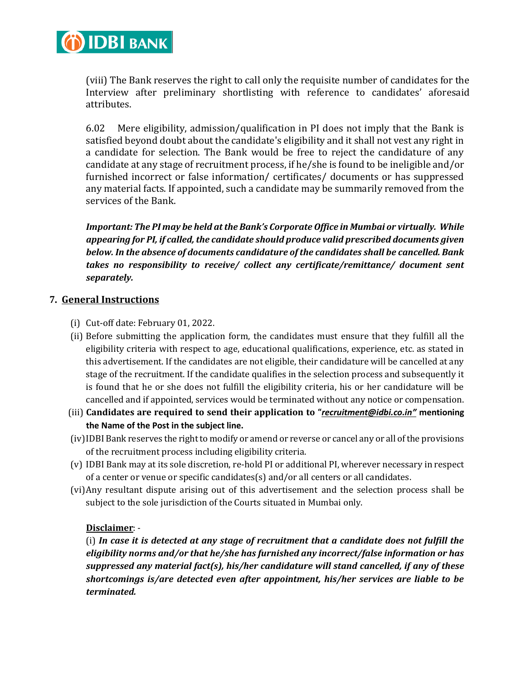

(viii) The Bank reserves the right to call only the requisite number of candidates for the Interview after preliminary shortlisting with reference to candidates' aforesaid attributes.

6.02 Mere eligibility, admission/qualification in PI does not imply that the Bank is satisfied beyond doubt about the candidate's eligibility and it shall not vest any right in a candidate for selection. The Bank would be free to reject the candidature of any candidate at any stage of recruitment process, if he/she is found to be ineligible and/or furnished incorrect or false information/ certificates/ documents or has suppressed any material facts. If appointed, such a candidate may be summarily removed from the services of the Bank.

*Important: The PI may be held at the Bank's Corporate Office in Mumbai or virtually. While appearing for PI, if called, the candidate should produce valid prescribed documents given below. In the absence of documents candidature of the candidates shall be cancelled. Bank takes no responsibility to receive/ collect any certificate/remittance/ document sent separately.*

### **7. General Instructions**

- (i) Cut-off date: February 01, 2022.
- (ii) Before submitting the application form, the candidates must ensure that they fulfill all the eligibility criteria with respect to age, educational qualifications, experience, etc. as stated in this advertisement. If the candidates are not eligible, their candidature will be cancelled at any stage of the recruitment. If the candidate qualifies in the selection process and subsequently it is found that he or she does not fulfill the eligibility criteria, his or her candidature will be cancelled and if appointed, services would be terminated without any notice or compensation.
- (iii) **Candidates are required to send their application to "***[recruitment@idbi.co.in](mailto:recruitment@idbi.co.in)"* **mentioning the Name of the Post in the subject line.**
- (iv)IDBI Bank reserves the right to modify or amend or reverse or cancel any or all of the provisions of the recruitment process including eligibility criteria.
- (v) IDBI Bank may at its sole discretion, re-hold PI or additional PI, wherever necessary in respect of a center or venue or specific candidates $(s)$  and/or all centers or all candidates.
- (vi)Any resultant dispute arising out of this advertisement and the selection process shall be subject to the sole jurisdiction of the Courts situated in Mumbai only.

## **Disclaimer**: -

(i) *In case it is detected at any stage of recruitment that a candidate does not fulfill the eligibility norms and/or that he/she has furnished any incorrect/false information or has suppressed any material fact(s), his/her candidature will stand cancelled, if any of these shortcomings is/are detected even after appointment, his/her services are liable to be terminated.*